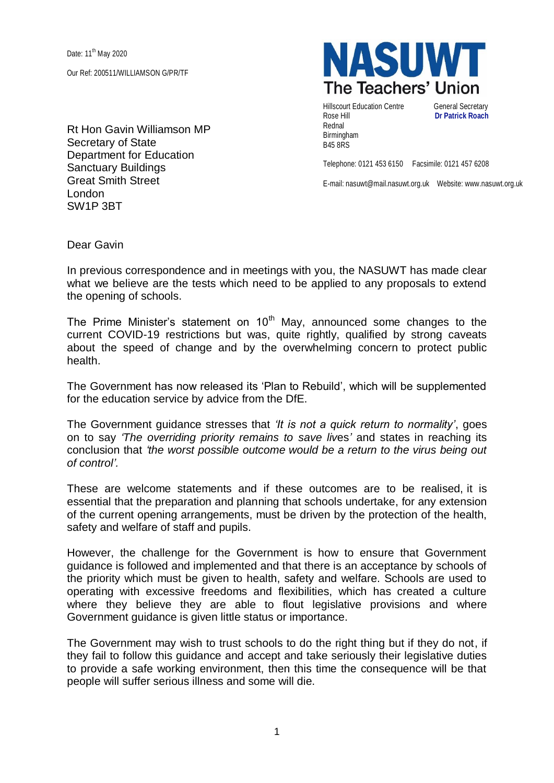Date: 11<sup>th</sup> May 2020 Our Ref: 200511/WILLIAMSON G/PR/TF

Rt Hon Gavin Williamson MP Secretary of State Department for Education Sanctuary Buildings Great Smith Street London SW1P 3BT

**NASUW** The Teachers' Union

Hillscourt Education Centre General Secretary Rose Hill **Dr Patrick Roach** Rednal Birmingham B45 8RS

Telephone: 0121 453 6150 Facsimile: 0121 457 6208

E-mail: nasuwt@mail.nasuwt.org.uk Website: www.nasuwt.org.uk

Dear Gavin

In previous correspondence and in meetings with you, the NASUWT has made clear what we believe are the tests which need to be applied to any proposals to extend the opening of schools.

The Prime Minister's statement on  $10<sup>th</sup>$  May, announced some changes to the current COVID-19 restrictions but was, quite rightly, qualified by strong caveats about the speed of change and by the overwhelming concern to protect public health.

The Government has now released its 'Plan to Rebuild', which will be supplemented for the education service by advice from the DfE.

The Government guidance stresses that *'It is not a quick return to normality'*, goes on to say *'The overriding priority remains to save liv*es*'* and states in reaching its conclusion that *'the worst possible outcome would be a return to the virus being out of control'.*

These are welcome statements and if these outcomes are to be realised, it is essential that the preparation and planning that schools undertake, for any extension of the current opening arrangements, must be driven by the protection of the health, safety and welfare of staff and pupils.

However, the challenge for the Government is how to ensure that Government guidance is followed and implemented and that there is an acceptance by schools of the priority which must be given to health, safety and welfare. Schools are used to operating with excessive freedoms and flexibilities, which has created a culture where they believe they are able to flout legislative provisions and where Government guidance is given little status or importance.

The Government may wish to trust schools to do the right thing but if they do not, if they fail to follow this guidance and accept and take seriously their legislative duties to provide a safe working environment, then this time the consequence will be that people will suffer serious illness and some will die.